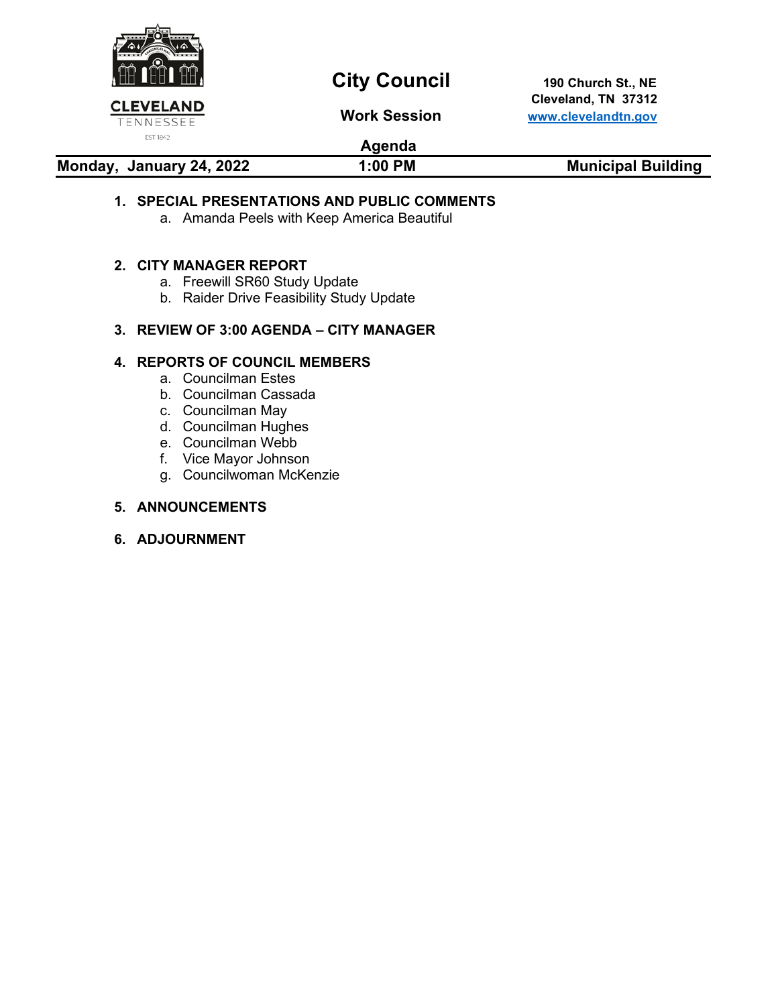

# **City Council** 190 Church St., NE

 **Cleveland, TN 37312 Work Session [www.clevelandtn.gov](http://www.clevelandtn.gov/)**

### **Agenda**

**Monday, January 24, 2022 1:00 PM Municipal Building** 

### **1. SPECIAL PRESENTATIONS AND PUBLIC COMMENTS**

a. Amanda Peels with Keep America Beautiful

### **2. CITY MANAGER REPORT**

- a. Freewill SR60 Study Update
- b. Raider Drive Feasibility Study Update

### **3. REVIEW OF 3:00 AGENDA – CITY MANAGER**

### **4. REPORTS OF COUNCIL MEMBERS**

- a. Councilman Estes
- b. Councilman Cassada
- c. Councilman May
- d. Councilman Hughes
- e. Councilman Webb
- f. Vice Mayor Johnson
- g. Councilwoman McKenzie

### **5. ANNOUNCEMENTS**

### **6. ADJOURNMENT**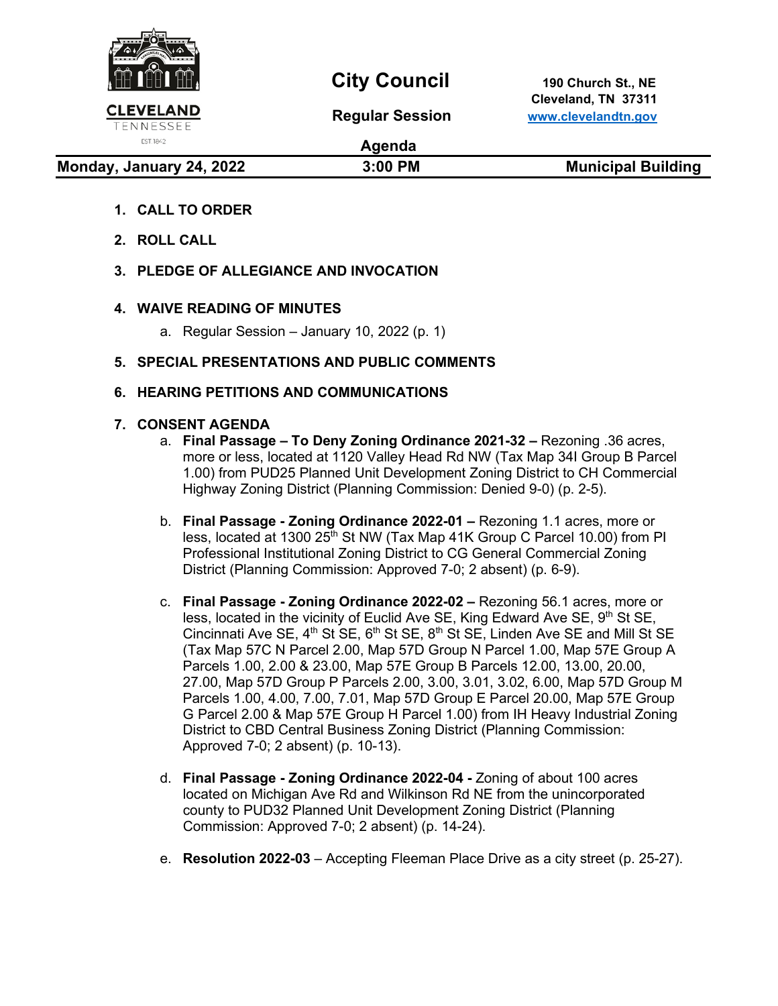

EST. 1842

## City Council 190 Church St., NE

 **Cleveland, TN 37311 Regular Session [www.clevelandtn.gov](http://www.clevelandtn.gov/)**

**Agenda**

**Monday, January 24, 2022 19:00 PM Municipal Building** 

- **1. CALL TO ORDER**
- **2. ROLL CALL**
- **3. PLEDGE OF ALLEGIANCE AND INVOCATION**

### **4. WAIVE READING OF MINUTES**

- a. Regular Session January 10, 2022 (p. 1)
- **5. SPECIAL PRESENTATIONS AND PUBLIC COMMENTS**

### **6. HEARING PETITIONS AND COMMUNICATIONS**

### **7. CONSENT AGENDA**

- a. **Final Passage – To Deny Zoning Ordinance 2021-32 –** Rezoning .36 acres, more or less, located at 1120 Valley Head Rd NW (Tax Map 34I Group B Parcel 1.00) from PUD25 Planned Unit Development Zoning District to CH Commercial Highway Zoning District (Planning Commission: Denied 9-0) (p. 2-5).
- b. **Final Passage - Zoning Ordinance 2022-01 –** Rezoning 1.1 acres, more or less, located at 1300 25<sup>th</sup> St NW (Tax Map 41K Group C Parcel 10.00) from PI Professional Institutional Zoning District to CG General Commercial Zoning District (Planning Commission: Approved 7-0; 2 absent) (p. 6-9).
- c. **Final Passage - Zoning Ordinance 2022-02 –** Rezoning 56.1 acres, more or less, located in the vicinity of Euclid Ave SE, King Edward Ave SE, 9<sup>th</sup> St SE, Cincinnati Ave SE,  $4<sup>th</sup>$  St SE,  $6<sup>th</sup>$  St SE,  $8<sup>th</sup>$  St SE, Linden Ave SE and Mill St SE (Tax Map 57C N Parcel 2.00, Map 57D Group N Parcel 1.00, Map 57E Group A Parcels 1.00, 2.00 & 23.00, Map 57E Group B Parcels 12.00, 13.00, 20.00, 27.00, Map 57D Group P Parcels 2.00, 3.00, 3.01, 3.02, 6.00, Map 57D Group M Parcels 1.00, 4.00, 7.00, 7.01, Map 57D Group E Parcel 20.00, Map 57E Group G Parcel 2.00 & Map 57E Group H Parcel 1.00) from IH Heavy Industrial Zoning District to CBD Central Business Zoning District (Planning Commission: Approved 7-0; 2 absent) (p. 10-13).
- d. **Final Passage - Zoning Ordinance 2022-04 -** Zoning of about 100 acres located on Michigan Ave Rd and Wilkinson Rd NE from the unincorporated county to PUD32 Planned Unit Development Zoning District (Planning Commission: Approved 7-0; 2 absent) (p. 14-24).
- e. **Resolution 2022-03** Accepting Fleeman Place Drive as a city street (p. 25-27).